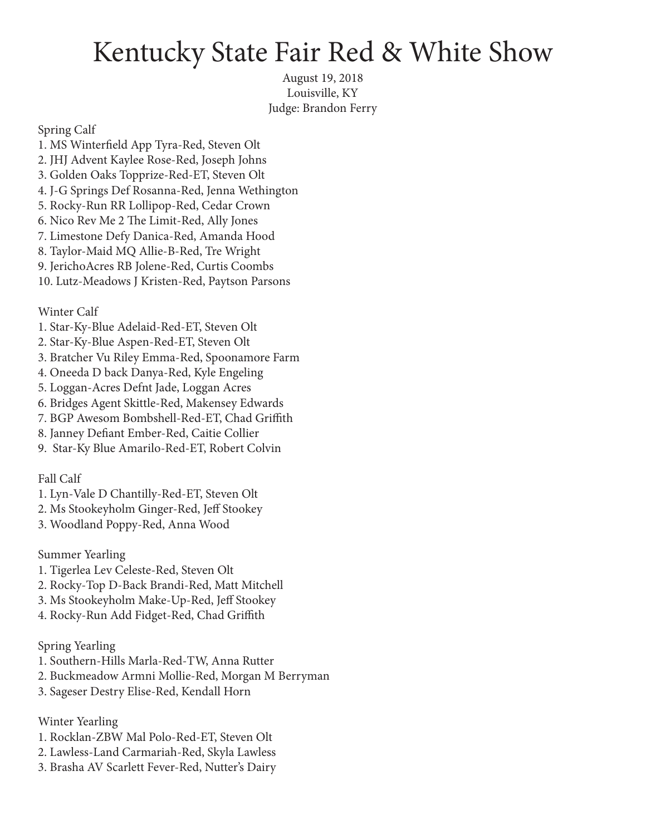## Kentucky State Fair Red & White Show

August 19, 2018 Louisville, KY Judge: Brandon Ferry

Spring Calf

1. MS Winterfield App Tyra-Red, Steven Olt 2. JHJ Advent Kaylee Rose-Red, Joseph Johns 3. Golden Oaks Topprize-Red-ET, Steven Olt 4. J-G Springs Def Rosanna-Red, Jenna Wethington 5. Rocky-Run RR Lollipop-Red, Cedar Crown 6. Nico Rev Me 2 The Limit-Red, Ally Jones 7. Limestone Defy Danica-Red, Amanda Hood 8. Taylor-Maid MQ Allie-B-Red, Tre Wright 9. JerichoAcres RB Jolene-Red, Curtis Coombs 10. Lutz-Meadows J Kristen-Red, Paytson Parsons

Winter Calf

- 1. Star-Ky-Blue Adelaid-Red-ET, Steven Olt
- 2. Star-Ky-Blue Aspen-Red-ET, Steven Olt
- 3. Bratcher Vu Riley Emma-Red, Spoonamore Farm
- 4. Oneeda D back Danya-Red, Kyle Engeling
- 5. Loggan-Acres Defnt Jade, Loggan Acres
- 6. Bridges Agent Skittle-Red, Makensey Edwards
- 7. BGP Awesom Bombshell-Red-ET, Chad Griffith
- 8. Janney Defiant Ember-Red, Caitie Collier
- 9. Star-Ky Blue Amarilo-Red-ET, Robert Colvin

Fall Calf

- 1. Lyn-Vale D Chantilly-Red-ET, Steven Olt
- 2. Ms Stookeyholm Ginger-Red, Jeff Stookey
- 3. Woodland Poppy-Red, Anna Wood

Summer Yearling

- 1. Tigerlea Lev Celeste-Red, Steven Olt
- 2. Rocky-Top D-Back Brandi-Red, Matt Mitchell
- 3. Ms Stookeyholm Make-Up-Red, Jeff Stookey
- 4. Rocky-Run Add Fidget-Red, Chad Griffith

Spring Yearling

- 1. Southern-Hills Marla-Red-TW, Anna Rutter
- 2. Buckmeadow Armni Mollie-Red, Morgan M Berryman
- 3. Sageser Destry Elise-Red, Kendall Horn

Winter Yearling

- 1. Rocklan-ZBW Mal Polo-Red-ET, Steven Olt
- 2. Lawless-Land Carmariah-Red, Skyla Lawless
- 3. Brasha AV Scarlett Fever-Red, Nutter's Dairy